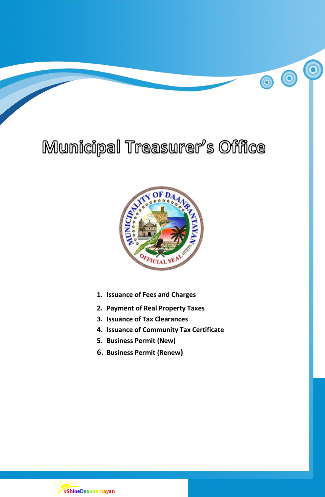# Municipal Treasurer's Office

 $\overline{\mathbf{o}}$ 

00



- **1. Issuance of Fees and Charges**
- **2. Payment of Real Property Taxes**
- **3. Issuance of Tax Clearances**
- **4. Issuance of Community Tax Certificate**
- **5. Business Permit (New)**
- **6. Business Permit (Renew)**

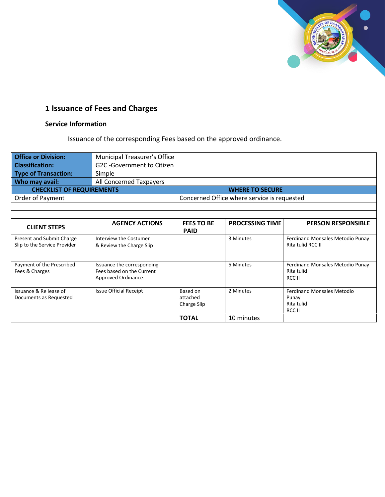

# **1 Issuance of Fees and Charges**

# **Service Information**

Issuance of the corresponding Fees based on the approved ordinance.

| <b>Office or Division:</b>                                | Municipal Treasurer's Office                                                   |                                     |                                             |                                                                    |  |
|-----------------------------------------------------------|--------------------------------------------------------------------------------|-------------------------------------|---------------------------------------------|--------------------------------------------------------------------|--|
| <b>Classification:</b>                                    | G2C-Government to Citizen                                                      |                                     |                                             |                                                                    |  |
| Type of Transaction:                                      | Simple                                                                         |                                     |                                             |                                                                    |  |
| Who may avail:                                            | All Concerned Taxpayers                                                        |                                     |                                             |                                                                    |  |
| <b>CHECKLIST OF REQUIREMENTS</b>                          |                                                                                |                                     | <b>WHERE TO SECURE</b>                      |                                                                    |  |
| Order of Payment                                          |                                                                                |                                     | Concerned Office where service is requested |                                                                    |  |
|                                                           |                                                                                |                                     |                                             |                                                                    |  |
|                                                           |                                                                                |                                     |                                             |                                                                    |  |
| <b>CLIENT STEPS</b>                                       | <b>AGENCY ACTIONS</b>                                                          | <b>FEES TO BE</b><br><b>PAID</b>    | <b>PROCESSING TIME</b>                      | <b>PERSON RESPONSIBLE</b>                                          |  |
| Present and Submit Charge<br>Slip to the Service Provider | Interview the Costumer<br>& Review the Charge Slip                             |                                     | 3 Minutes                                   | Ferdinand Monsales Metodio Punay<br>Rita tulid RCC II              |  |
| Payment of the Prescribed<br>Fees & Charges               | Issuance the corresponding<br>Fees based on the Current<br>Approved Ordinance. |                                     | 5 Minutes                                   | Ferdinand Monsales Metodio Punay<br>Rita tulid<br>RCC II           |  |
| Issuance & Re lease of<br>Documents as Requested          | <b>Issue Official Receipt</b>                                                  | Based on<br>attached<br>Charge Slip | 2 Minutes                                   | <b>Ferdinand Monsales Metodio</b><br>Punay<br>Rita tulid<br>RCC II |  |
|                                                           |                                                                                | <b>TOTAL</b>                        | 10 minutes                                  |                                                                    |  |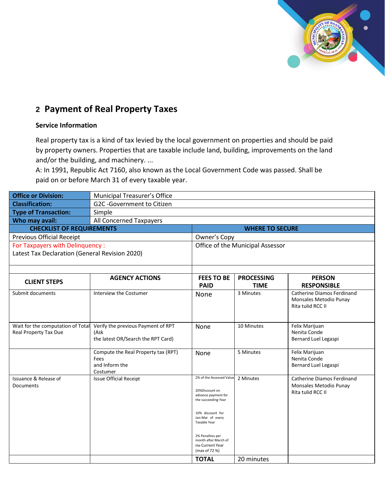

# **2 Payment of Real Property Taxes**

## **Service Information**

Real property tax is a kind of tax levied by the local government on properties and should be paid by property owners. Properties that are taxable include land, building, improvements on the land and/or the building, and machinery. ...

A: In 1991, Republic Act 7160, also known as the Local Government Code was passed. Shall be paid on or before March 31 of every taxable year.

| <b>Office or Division:</b>                                 | Municipal Treasurer's Office                                                     |                                                                                                                                                                                                                                   |                                  |                                                                           |  |
|------------------------------------------------------------|----------------------------------------------------------------------------------|-----------------------------------------------------------------------------------------------------------------------------------------------------------------------------------------------------------------------------------|----------------------------------|---------------------------------------------------------------------------|--|
| <b>Classification:</b>                                     | G2C-Government to Citizen                                                        |                                                                                                                                                                                                                                   |                                  |                                                                           |  |
| <b>Type of Transaction:</b>                                | Simple                                                                           |                                                                                                                                                                                                                                   |                                  |                                                                           |  |
| Who may avail:                                             | All Concerned Taxpayers                                                          |                                                                                                                                                                                                                                   |                                  |                                                                           |  |
| <b>CHECKLIST OF REQUIREMENTS</b>                           |                                                                                  |                                                                                                                                                                                                                                   | <b>WHERE TO SECURE</b>           |                                                                           |  |
| <b>Previous Official Receipt</b>                           |                                                                                  | Owner's Copy                                                                                                                                                                                                                      |                                  |                                                                           |  |
| For Taxpayers with Delinquency :                           |                                                                                  |                                                                                                                                                                                                                                   | Office of the Municipal Assessor |                                                                           |  |
| Latest Tax Declaration (General Revision 2020)             |                                                                                  |                                                                                                                                                                                                                                   |                                  |                                                                           |  |
| <b>CLIENT STEPS</b>                                        | <b>AGENCY ACTIONS</b>                                                            | <b>FEES TO BE</b>                                                                                                                                                                                                                 | <b>PROCESSING</b>                | <b>PERSON</b>                                                             |  |
|                                                            |                                                                                  | <b>PAID</b>                                                                                                                                                                                                                       | <b>TIME</b>                      | <b>RESPONSIBLE</b>                                                        |  |
| Submit documents                                           | Interview the Costumer                                                           | None                                                                                                                                                                                                                              | 3 Minutes                        | Catherine Diamos Ferdinand<br>Monsales Metodio Punay<br>Rita tulid RCC II |  |
| Wait for the computation of Total<br>Real Property Tax Due | Verify the previous Payment of RPT<br>(Ask<br>the latest OR/Search the RPT Card) | None                                                                                                                                                                                                                              | 10 Minutes                       | Felix Marijuan<br>Nenita Conde<br>Bernard Luel Legaspi                    |  |
|                                                            | Compute the Real Property tax (RPT)<br>Fees<br>and Inform the<br>Costumer        | None                                                                                                                                                                                                                              | 5 Minutes                        | Felix Marijuan<br>Nenita Conde<br>Bernard Luel Legaspi                    |  |
| Issuance & Release of<br>Documents                         | <b>Issue Official Receipt</b>                                                    | 2% of the Assessed Value<br>20%Discount on<br>advance payment for<br>the succeeding Year<br>10% discount for<br>Jan-Mar of every<br>Taxable Year<br>2% Penalties per<br>month after March of<br>the Current Year<br>(max of 72 %) | 2 Minutes                        | Catherine Diamos Ferdinand<br>Monsales Metodio Punay<br>Rita tulid RCC II |  |
|                                                            |                                                                                  | <b>TOTAL</b>                                                                                                                                                                                                                      | 20 minutes                       |                                                                           |  |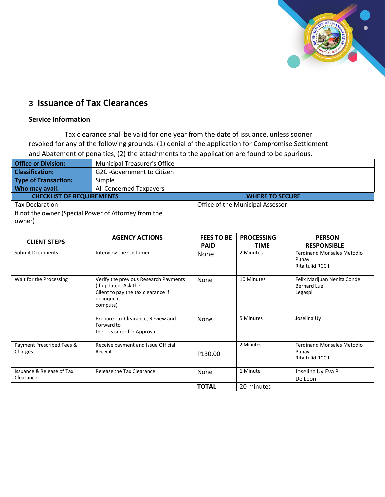

# **3 Issuance of Tax Clearances**

## **Service Information**

Tax clearance shall be valid for one year from the date of issuance, unless sooner revoked for any of the following grounds: (1) denial of the application for Compromise Settlement and Abatement of penalties; (2) the attachments to the application are found to be spurious.

| <b>Office or Division:</b>                                     | Municipal Treasurer's Office                                                                                                    |                                  |                                  |                                                                 |  |
|----------------------------------------------------------------|---------------------------------------------------------------------------------------------------------------------------------|----------------------------------|----------------------------------|-----------------------------------------------------------------|--|
| <b>Classification:</b>                                         | G2C -Government to Citizen                                                                                                      |                                  |                                  |                                                                 |  |
| <b>Type of Transaction:</b>                                    | Simple                                                                                                                          |                                  |                                  |                                                                 |  |
| Who may avail:                                                 | All Concerned Taxpayers                                                                                                         |                                  |                                  |                                                                 |  |
| <b>CHECKLIST OF REQUIREMENTS</b>                               |                                                                                                                                 |                                  | <b>WHERE TO SECURE</b>           |                                                                 |  |
| <b>Tax Declaration</b>                                         |                                                                                                                                 |                                  | Office of the Municipal Assessor |                                                                 |  |
| If not the owner (Special Power of Attorney from the<br>owner) |                                                                                                                                 |                                  |                                  |                                                                 |  |
| <b>CLIENT STEPS</b>                                            | <b>AGENCY ACTIONS</b>                                                                                                           | <b>FEES TO BE</b><br><b>PAID</b> | <b>PROCESSING</b><br><b>TIME</b> | <b>PERSON</b><br><b>RESPONSIBLE</b>                             |  |
| <b>Submit Documents</b>                                        | Interview the Costumer                                                                                                          | None                             | 2 Minutes                        | <b>Ferdinand Monsales Metodio</b><br>Punay<br>Rita tulid RCC II |  |
| Wait for the Processing                                        | Verify the previous Research Payments<br>(if updated, Ask the<br>Client to pay the tax clearance if<br>delinquent -<br>compute) | None                             | 10 Minutes                       | Felix Marijuan Nenita Conde<br><b>Bernard Luel</b><br>Legaspi   |  |
|                                                                | Prepare Tax Clearance, Review and<br>Forward to<br>the Treasurer for Approval                                                   | None                             | 5 Minutes                        | Joselina Uy                                                     |  |
| Payment Prescribed Fees &<br>Charges                           | Receive payment and Issue Official<br>Receipt                                                                                   | P130.00                          | 2 Minutes                        | <b>Ferdinand Monsales Metodio</b><br>Punay<br>Rita tulid RCC II |  |
| <b>Issuance &amp; Release of Tax</b><br>Clearance              | Release the Tax Clearance                                                                                                       | None                             | 1 Minute                         | Joselina Uy Eva P.<br>De Leon                                   |  |
|                                                                |                                                                                                                                 | <b>TOTAL</b>                     | 20 minutes                       |                                                                 |  |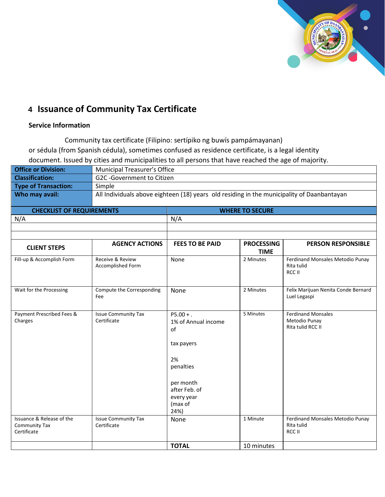

# **4 Issuance of Community Tax Certificate**

## **Service Information**

Community tax certificate (Filipino: sertípiko ng buwís pampámayanan) or sédula (from Spanish cédula), sometimes confused as residence certificate, is a legal identity document. Issued by cities and municipalities to all persons that have reached the age of majority.

| <b>Office or Division:</b>       | Municipal Treasurer's Office                                                               |                        |  |
|----------------------------------|--------------------------------------------------------------------------------------------|------------------------|--|
| <b>Classification:</b>           | G2C-Government to Citizen                                                                  |                        |  |
| <b>Type of Transaction:</b>      | Simple                                                                                     |                        |  |
| Who may avail:                   | All Individuals above eighteen (18) years old residing in the municipality of Daanbantayan |                        |  |
|                                  |                                                                                            |                        |  |
| <b>CHECKLIST OF REQUIREMENTS</b> |                                                                                            | <b>WHERE TO SECURE</b> |  |

| <u>encement of negotiativitivity</u><br>N/A               |                                           | .<br>N/A                                                                                                                                 |                                  |                                                                 |  |
|-----------------------------------------------------------|-------------------------------------------|------------------------------------------------------------------------------------------------------------------------------------------|----------------------------------|-----------------------------------------------------------------|--|
|                                                           |                                           |                                                                                                                                          |                                  |                                                                 |  |
|                                                           |                                           |                                                                                                                                          |                                  |                                                                 |  |
| <b>CLIENT STEPS</b>                                       | <b>AGENCY ACTIONS</b>                     | <b>FEES TO BE PAID</b>                                                                                                                   | <b>PROCESSING</b><br><b>TIME</b> | PERSON RESPONSIBLE                                              |  |
| Fill-up & Accomplish Form                                 | Receive & Review<br>Accomplished Form     | None                                                                                                                                     | 2 Minutes                        | Ferdinand Monsales Metodio Punay<br>Rita tulid<br>RCC II        |  |
| Wait for the Processing                                   | Compute the Corresponding<br>Fee          | None                                                                                                                                     | 2 Minutes                        | Felix Marijuan Nenita Conde Bernard<br>Luel Legaspi             |  |
| Payment Prescribed Fees &<br>Charges                      | <b>Issue Community Tax</b><br>Certificate | $P5.00 + .$<br>1% of Annual income<br>of<br>tax payers<br>2%<br>penalties<br>per month<br>after Feb. of<br>every year<br>(max of<br>24%) | 5 Minutes                        | <b>Ferdinand Monsales</b><br>Metodio Punay<br>Rita tulid RCC II |  |
| Issuance & Release of the<br>Community Tax<br>Certificate | <b>Issue Community Tax</b><br>Certificate | None                                                                                                                                     | 1 Minute                         | Ferdinand Monsales Metodio Punay<br>Rita tulid<br>RCC II        |  |
|                                                           |                                           | <b>TOTAL</b>                                                                                                                             | 10 minutes                       |                                                                 |  |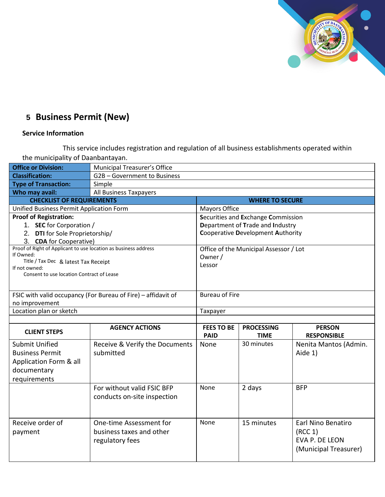

# **5 Business Permit (New)**

# **Service Information**

This service includes registration and regulation of all business establishments operated within the municipality of Daanbantayan.

| <b>Office or Division:</b>                                      | Municipal Treasurer's Office                                  |                       |                                          |                           |  |
|-----------------------------------------------------------------|---------------------------------------------------------------|-----------------------|------------------------------------------|---------------------------|--|
| <b>Classification:</b>                                          | G2B-Government to Business                                    |                       |                                          |                           |  |
| <b>Type of Transaction:</b>                                     | Simple                                                        |                       |                                          |                           |  |
| Who may avail:                                                  | All Business Taxpayers                                        |                       |                                          |                           |  |
| <b>CHECKLIST OF REQUIREMENTS</b>                                |                                                               |                       | <b>WHERE TO SECURE</b>                   |                           |  |
| Unified Business Permit Application Form                        |                                                               | Mayors Office         |                                          |                           |  |
| <b>Proof of Registration:</b>                                   |                                                               |                       | Securities and Exchange Commission       |                           |  |
| 1. SEC for Corporation /                                        |                                                               |                       | Department of Trade and Industry         |                           |  |
| 2. DTI for Sole Proprietorship/                                 |                                                               |                       | <b>Cooperative Development Authority</b> |                           |  |
| 3. CDA for Cooperative)                                         |                                                               |                       |                                          |                           |  |
| Proof of Right of Applicant to use location as business address |                                                               |                       | Office of the Municipal Assessor / Lot   |                           |  |
| If Owned:<br>Title / Tax Dec & latest Tax Receipt               |                                                               | Owner /               |                                          |                           |  |
| If not owned:                                                   |                                                               | Lessor                |                                          |                           |  |
| Consent to use location Contract of Lease                       |                                                               |                       |                                          |                           |  |
|                                                                 |                                                               |                       |                                          |                           |  |
|                                                                 | FSIC with valid occupancy (For Bureau of Fire) - affidavit of | <b>Bureau of Fire</b> |                                          |                           |  |
| no improvement                                                  |                                                               |                       |                                          |                           |  |
| Location plan or sketch                                         |                                                               | Taxpayer              |                                          |                           |  |
|                                                                 |                                                               |                       |                                          |                           |  |
|                                                                 | <b>AGENCY ACTIONS</b>                                         | <b>FEES TO BE</b>     | <b>PROCESSING</b>                        | <b>PERSON</b>             |  |
| <b>CLIENT STEPS</b>                                             |                                                               | <b>PAID</b>           | <b>TIME</b>                              | <b>RESPONSIBLE</b>        |  |
| <b>Submit Unified</b>                                           | Receive & Verify the Documents                                | None                  | 30 minutes                               | Nenita Mantos (Admin.     |  |
| <b>Business Permit</b>                                          | submitted                                                     |                       |                                          | Aide 1)                   |  |
| Application Form & all                                          |                                                               |                       |                                          |                           |  |
| documentary                                                     |                                                               |                       |                                          |                           |  |
| requirements                                                    |                                                               |                       |                                          |                           |  |
|                                                                 | For without valid FSIC BFP                                    | None                  | 2 days                                   | <b>BFP</b>                |  |
|                                                                 | conducts on-site inspection                                   |                       |                                          |                           |  |
|                                                                 |                                                               |                       |                                          |                           |  |
|                                                                 |                                                               |                       |                                          |                           |  |
| Receive order of                                                | One-time Assessment for                                       | None                  | 15 minutes                               | <b>Earl Nino Benatiro</b> |  |
| payment                                                         | business taxes and other                                      |                       |                                          | (RCC 1)                   |  |
|                                                                 | regulatory fees                                               |                       |                                          | EVA P. DE LEON            |  |
|                                                                 |                                                               |                       |                                          | (Municipal Treasurer)     |  |
|                                                                 |                                                               |                       |                                          |                           |  |
|                                                                 |                                                               |                       |                                          |                           |  |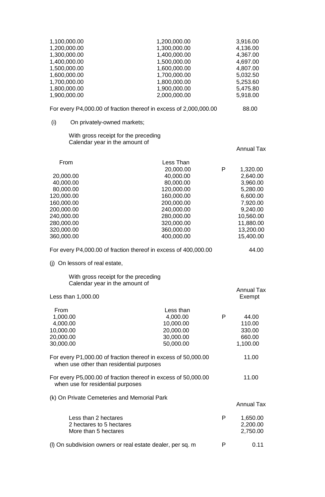| 1,100,000.00<br>1,200,000.00<br>1,300,000.00<br>1,400,000.00<br>1,500,000.00<br>1,600,000.00<br>1,700,000.00<br>1,800,000.00<br>1,900,000.00  | 1,200,000.00<br>1,300,000.00<br>1,400,000.00<br>1,500,000.00<br>1,600,000.00<br>1,700,000.00<br>1,800,000.00<br>1,900,000.00<br>2,000,000.00                     |   | 3,916.00<br>4,136.00<br>4,367.00<br>4,697.00<br>4,807.00<br>5,032.50<br>5,253.60<br>5,475.80<br>5,918.00                             |
|-----------------------------------------------------------------------------------------------------------------------------------------------|------------------------------------------------------------------------------------------------------------------------------------------------------------------|---|--------------------------------------------------------------------------------------------------------------------------------------|
|                                                                                                                                               |                                                                                                                                                                  |   |                                                                                                                                      |
|                                                                                                                                               | For every P4,000.00 of fraction thereof in excess of 2,000,000.00                                                                                                |   | 88.00                                                                                                                                |
| (i)<br>On privately-owned markets;                                                                                                            |                                                                                                                                                                  |   |                                                                                                                                      |
| With gross receipt for the preceding<br>Calendar year in the amount of                                                                        |                                                                                                                                                                  |   |                                                                                                                                      |
|                                                                                                                                               |                                                                                                                                                                  |   | <b>Annual Tax</b>                                                                                                                    |
| From<br>20,000.00<br>40,000.00<br>80,000.00<br>120,000.00<br>160,000.00<br>200,000.00<br>240,000.00<br>280,000.00<br>320,000.00<br>360,000.00 | Less Than<br>20,000.00<br>40,000.00<br>80,000.00<br>120,000.00<br>160,000.00<br>200,000.00<br>240,000.00<br>280,000.00<br>320,000.00<br>360,000.00<br>400,000.00 | P | 1,320.00<br>2,640.00<br>3,960.00<br>5,280.00<br>6,600.00<br>7,920.00<br>9,240.00<br>10,560.00<br>11,880.00<br>13,200.00<br>15,400.00 |
|                                                                                                                                               | For every P4,000.00 of fraction thereof in excess of 400,000.00                                                                                                  |   | 44.00                                                                                                                                |
| On lessors of real estate,<br>(i)                                                                                                             |                                                                                                                                                                  |   |                                                                                                                                      |
| With gross receipt for the preceding<br>Calendar year in the amount of                                                                        |                                                                                                                                                                  |   |                                                                                                                                      |
| Less than 1,000.00                                                                                                                            |                                                                                                                                                                  |   | <b>Annual Tax</b><br>Exempt                                                                                                          |
| From<br>1,000.00<br>4,000.00<br>10,000.00<br>20,000.00<br>30,000.00                                                                           | Less than<br>4,000.00<br>10,000.00<br>20,000.00<br>30,000.00<br>50,000.00                                                                                        | P | 44.00<br>110.00<br>330.00<br>660.00<br>1,100.00                                                                                      |
| when use other than residential purposes                                                                                                      | For every P1,000.00 of fraction thereof in excess of 50,000.00                                                                                                   |   | 11.00                                                                                                                                |
| when use for residential purposes                                                                                                             | For every P5,000.00 of fraction thereof in excess of 50,000.00                                                                                                   |   | 11.00                                                                                                                                |
| (k) On Private Cemeteries and Memorial Park                                                                                                   |                                                                                                                                                                  |   | <b>Annual Tax</b>                                                                                                                    |
| Less than 2 hectares<br>2 hectares to 5 hectares<br>More than 5 hectares                                                                      |                                                                                                                                                                  | P | 1,650.00<br>2,200.00<br>2,750.00                                                                                                     |
| (I) On subdivision owners or real estate dealer, per sq. m.                                                                                   |                                                                                                                                                                  | P | 0.11                                                                                                                                 |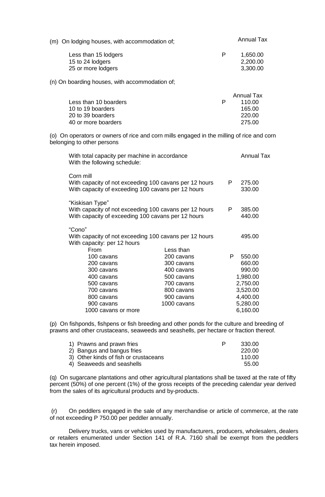| (m) On lodging houses, with accommodation of; |   | <b>Annual Tax</b> |  |
|-----------------------------------------------|---|-------------------|--|
| Less than 15 lodgers                          | P | 1,650.00          |  |
| 15 to 24 lodgers                              |   | 2,200.00          |  |
| 25 or more lodgers                            |   | 3,300.00          |  |

(n) On boarding houses, with accommodation of;

|                       | Annual Tax |
|-----------------------|------------|
| Less than 10 boarders | 110.00     |
| 10 to 19 boarders     | 165.00     |
| 20 to 39 boarders     | 220.00     |
| 40 or more boarders   | 275.00     |
|                       |            |

(o) On operators or owners of rice and corn mills engaged in the milling of rice and corn belonging to other persons

| With total capacity per machine in accordance<br>With the following schedule:                                                   |                                                        | <b>Annual Tax</b> |          |
|---------------------------------------------------------------------------------------------------------------------------------|--------------------------------------------------------|-------------------|----------|
| Corn mill<br>With capacity of not exceeding 100 cavans per 12 hours<br>With capacity of exceeding 100 cavans per 12 hours       | P                                                      | 275.00<br>330.00  |          |
| "Kiskisan Type"<br>With capacity of not exceeding 100 cavans per 12 hours<br>With capacity of exceeding 100 cavans per 12 hours | P.                                                     | 385.00<br>440.00  |          |
| "Cono"<br>With capacity: per 12 hours                                                                                           | With capacity of not exceeding 100 cavans per 12 hours |                   | 495.00   |
| From<br>100 cavans                                                                                                              | Less than<br>200 cavans                                | P                 | 550.00   |
| 200 cavans                                                                                                                      | 300 cavans                                             |                   | 660.00   |
| 300 cavans                                                                                                                      | 400 cavans                                             |                   | 990.00   |
| 400 cavans                                                                                                                      |                                                        | 1,980.00          |          |
| 500 cavans<br>500 cavans<br>700 cavans                                                                                          |                                                        |                   | 2,750.00 |
| 700 cavans<br>800 cavans                                                                                                        |                                                        |                   | 3,520.00 |
| 800 cavans<br>900 cavans                                                                                                        |                                                        |                   | 4,400.00 |
| 900 cavans                                                                                                                      | 1000 cavans                                            |                   | 5,280.00 |
| 1000 cavans or more                                                                                                             |                                                        | 6,160.00          |          |

(p) On fishponds, fishpens or fish breeding and other ponds for the culture and breeding of prawns and other crustaceans, seaweeds and seashells, per hectare or fraction thereof.

| 1) Prawns and prawn fries             | P | 330.00 |
|---------------------------------------|---|--------|
| 2) Bangus and bangus fries            |   | 220.00 |
| 3) Other kinds of fish or crustaceans |   | 110.00 |
| 4) Seaweeds and seashells             |   | 55.00  |

(q) On sugarcane plantations and other agricultural plantations shall be taxed at the rate of fifty percent (50%) of one percent (1%) of the gross receipts of the preceding calendar year derived from the sales of its agricultural products and by-products.

(r) On peddlers engaged in the sale of any merchandise or article of commerce, at the rate of not exceeding P 750.00 per peddler annually.

Delivery trucks, vans or vehicles used by manufacturers, producers, wholesalers, dealers or retailers enumerated under Section 141 of R.A. 7160 shall be exempt from the peddlers tax herein imposed.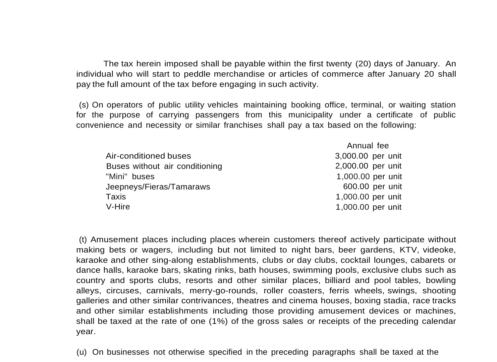The tax herein imposed shall be payable within the first twenty (20) days of January. An individual who will start to peddle merchandise or articles of commerce after January 20 shall pay the full amount of the tax before engaging in such activity.

(s) On operators of public utility vehicles maintaining booking office, terminal, or waiting station for the purpose of carrying passengers from this municipality under a certificate of public convenience and necessity or similar franchises shall pay a tax based on the following:

|                                | Annual fee        |
|--------------------------------|-------------------|
| Air-conditioned buses          | 3,000.00 per unit |
| Buses without air conditioning | 2,000.00 per unit |
| "Mini" buses                   | 1,000.00 per unit |
| Jeepneys/Fieras/Tamaraws       | 600.00 per unit   |
| Taxis                          | 1,000.00 per unit |
| V-Hire                         | 1,000.00 per unit |

(t) Amusement places including places wherein customers thereof actively participate without making bets or wagers, including but not limited to night bars, beer gardens, KTV, videoke, karaoke and other sing-along establishments, clubs or day clubs, cocktail lounges, cabarets or dance halls, karaoke bars, skating rinks, bath houses, swimming pools, exclusive clubs such as country and sports clubs, resorts and other similar places, billiard and pool tables, bowling alleys, circuses, carnivals, merry-go-rounds, roller coasters, ferris wheels, swings, shooting galleries and other similar contrivances, theatres and cinema houses, boxing stadia, race tracks and other similar establishments including those providing amusement devices or machines, shall be taxed at the rate of one (1%) of the gross sales or receipts of the preceding calendar year.

(u) On businesses not otherwise specified in the preceding paragraphs shall be taxed at the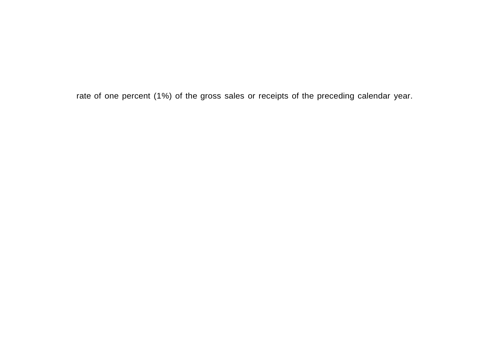rate of one percent (1%) of the gross sales or receipts of the preceding calendar year.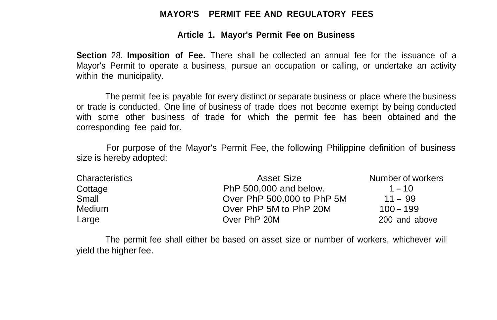#### **MAYOR'S PERMIT FEE AND REGULATORY FEES**

#### **Article 1. Mayor's Permit Fee on Business**

**Section** 28. **Imposition of Fee.** There shall be collected an annual fee for the issuance of a Mayor's Permit to operate a business, pursue an occupation or calling, or undertake an activity within the municipality.

The permit fee is payable for every distinct or separate business or place where the business or trade is conducted. One line of business of trade does not become exempt by being conducted with some other business of trade for which the permit fee has been obtained and the corresponding fee paid for.

For purpose of the Mayor's Permit Fee, the following Philippine definition of business size is hereby adopted:

| Characteristics | Asset Size                 | Number of workers |
|-----------------|----------------------------|-------------------|
| Cottage         | PhP 500,000 and below.     | $1 - 10$          |
| Small           | Over PhP 500,000 to PhP 5M | $11 - 99$         |
| Medium          | Over PhP 5M to PhP 20M     | $100 - 199$       |
| Large           | Over PhP 20M               | 200 and above     |

The permit fee shall either be based on asset size or number of workers, whichever will yield the higher fee.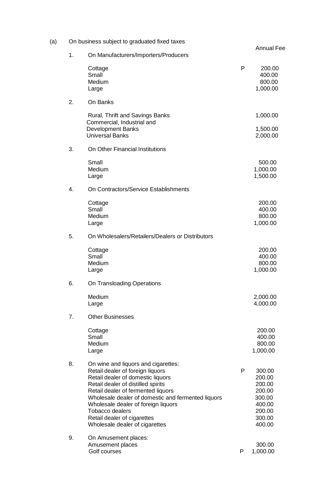| (a) |    | On business subject to graduated fixed taxes                                                                                                                                                                                                                                                                                                                                     |   |                                                                                        |
|-----|----|----------------------------------------------------------------------------------------------------------------------------------------------------------------------------------------------------------------------------------------------------------------------------------------------------------------------------------------------------------------------------------|---|----------------------------------------------------------------------------------------|
|     | 1. | On Manufacturers/Importers/Producers                                                                                                                                                                                                                                                                                                                                             |   | <b>Annual Fee</b>                                                                      |
|     |    | Cottage<br>Small<br>Medium<br>Large                                                                                                                                                                                                                                                                                                                                              | P | 200.00<br>400.00<br>800.00<br>1,000.00                                                 |
|     | 2. | On Banks                                                                                                                                                                                                                                                                                                                                                                         |   |                                                                                        |
|     |    | Rural, Thrift and Savings Banks<br>Commercial, Industrial and<br><b>Development Banks</b><br><b>Universal Banks</b>                                                                                                                                                                                                                                                              |   | 1,000.00<br>1,500.00<br>2,000.00                                                       |
|     | 3. | On Other Financial Institutions                                                                                                                                                                                                                                                                                                                                                  |   |                                                                                        |
|     |    | Small<br>Medium<br>Large                                                                                                                                                                                                                                                                                                                                                         |   | 500.00<br>1,000.00<br>1,500.00                                                         |
|     | 4. | On Contractors/Service Establishments                                                                                                                                                                                                                                                                                                                                            |   |                                                                                        |
|     |    | Cottage<br>Small<br>Medium<br>Large                                                                                                                                                                                                                                                                                                                                              |   | 200.00<br>400.00<br>800.00<br>1,000.00                                                 |
|     | 5. | On Wholesalers/Retailers/Dealers or Distributors                                                                                                                                                                                                                                                                                                                                 |   |                                                                                        |
|     |    | Cottage<br>Small<br>Medium<br>Large                                                                                                                                                                                                                                                                                                                                              |   | 200.00<br>400.00<br>800.00<br>1,000.00                                                 |
|     | 6. | On Transloading Operations                                                                                                                                                                                                                                                                                                                                                       |   |                                                                                        |
|     |    | Medium<br>Large                                                                                                                                                                                                                                                                                                                                                                  |   | 2,000.00<br>4,000.00                                                                   |
|     | 7. | <b>Other Businesses</b>                                                                                                                                                                                                                                                                                                                                                          |   |                                                                                        |
|     |    | Cottage<br>Small<br>Medium<br>Large                                                                                                                                                                                                                                                                                                                                              |   | 200.00<br>400.00<br>800.00<br>1,000.00                                                 |
|     | 8. | On wine and liquors and cigarettes:<br>Retail dealer of foreign liquors<br>Retail dealer of domestic liquors<br>Retail dealer of distilled spirits<br>Retail dealer of fermented liquors<br>Wholesale dealer of domestic and fermented liquors<br>Wholesale dealer of foreign liquors<br><b>Tobacco dealers</b><br>Retail dealer of cigarettes<br>Wholesale dealer of cigarettes | P | 300.00<br>200.00<br>200.00<br>200.00<br>300.00<br>400.00<br>200.00<br>300.00<br>400.00 |
|     | 9. | On Amusement places:<br>Amusement places<br>Golf courses                                                                                                                                                                                                                                                                                                                         | P | 300.00<br>1,000.00                                                                     |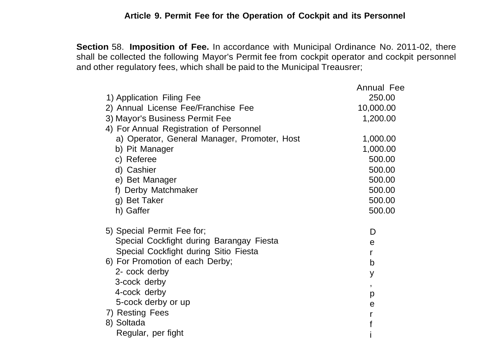#### **Article 9. Permit Fee for the Operation of Cockpit and its Personnel**

**Section** 58. **Imposition of Fee.** In accordance with Municipal Ordinance No. 2011-02, there shall be collected the following Mayor's Permit fee from cockpit operator and cockpit personnel and other regulatory fees, which shall be paid to the Municipal Treausrer;

| 1) Application Filing Fee<br>2) Annual License Fee/Franchise Fee<br>3) Mayor's Business Permit Fee<br>4) For Annual Registration of Personnel<br>a) Operator, General Manager, Promoter, Host | Annual Fee<br>250.00<br>10,000.00<br>1,200.00<br>1,000.00 |
|-----------------------------------------------------------------------------------------------------------------------------------------------------------------------------------------------|-----------------------------------------------------------|
| b) Pit Manager<br>c) Referee                                                                                                                                                                  | 1,000.00<br>500.00                                        |
| d) Cashier                                                                                                                                                                                    | 500.00                                                    |
| e) Bet Manager                                                                                                                                                                                | 500.00                                                    |
| f) Derby Matchmaker                                                                                                                                                                           | 500.00                                                    |
| g) Bet Taker                                                                                                                                                                                  | 500.00                                                    |
| h) Gaffer                                                                                                                                                                                     | 500.00                                                    |
| 5) Special Permit Fee for;                                                                                                                                                                    | D                                                         |
| Special Cockfight during Barangay Fiesta                                                                                                                                                      | e                                                         |
| Special Cockfight during Sitio Fiesta                                                                                                                                                         | r                                                         |
| 6) For Promotion of each Derby;                                                                                                                                                               | b                                                         |
| 2- cock derby                                                                                                                                                                                 | у                                                         |
| 3-cock derby                                                                                                                                                                                  | $\mathbf{r}$                                              |
| 4-cock derby                                                                                                                                                                                  | р                                                         |
| 5-cock derby or up                                                                                                                                                                            | е                                                         |
| 7) Resting Fees                                                                                                                                                                               |                                                           |
| 8) Soltada                                                                                                                                                                                    |                                                           |
| Regular, per fight                                                                                                                                                                            |                                                           |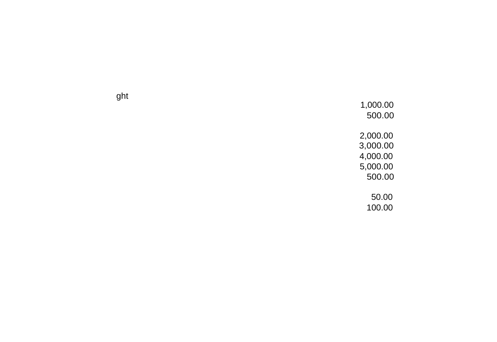ght

1,000.00 500.00 2,000.00 3,000.00 4,000.00 5,000.00<br>500.00 50.00 100.00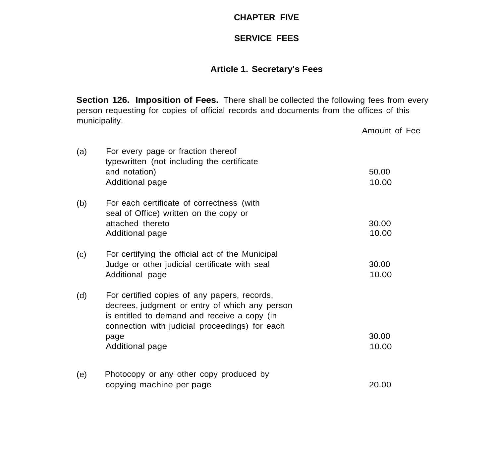#### **CHAPTER FIVE**

## **SERVICE FEES**

### **Article 1. Secretary's Fees**

**Section 126. Imposition of Fees.** There shall be collected the following fees from every person requesting for copies of official records and documents from the offices of this municipality. Amount of Fee

| (a) | For every page or fraction thereof<br>typewritten (not including the certificate<br>and notation)<br>Additional page                                                                                     | 50.00<br>10.00 |
|-----|----------------------------------------------------------------------------------------------------------------------------------------------------------------------------------------------------------|----------------|
| (b) | For each certificate of correctness (with<br>seal of Office) written on the copy or<br>attached thereto<br>Additional page                                                                               | 30.00<br>10.00 |
| (c) | For certifying the official act of the Municipal<br>Judge or other judicial certificate with seal<br>Additional page                                                                                     | 30.00<br>10.00 |
| (d) | For certified copies of any papers, records,<br>decrees, judgment or entry of which any person<br>is entitled to demand and receive a copy (in<br>connection with judicial proceedings) for each<br>page | 30.00          |
|     | Additional page                                                                                                                                                                                          | 10.00          |
| (e) | Photocopy or any other copy produced by<br>copying machine per page                                                                                                                                      | 20.00          |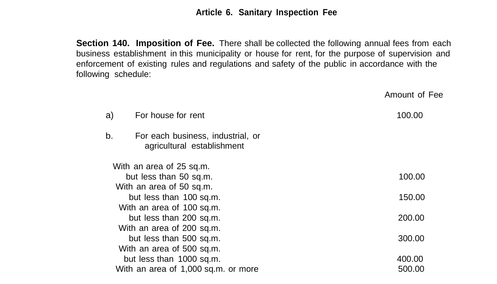#### **Article 6. Sanitary Inspection Fee**

**Section 140. Imposition of Fee.** There shall be collected the following annual fees from each business establishment in this municipality or house for rent, for the purpose of supervision and enforcement of existing rules and regulations and safety of the public in accordance with the following schedule:

Amount of Fee a) For house for rent 100.00 b. For each business, industrial, or agricultural establishment With an area of 25 sq.m. but less than 50 sq.m. With an area of 50 sq.m. but less than 100 sq.m. With an area of 100 sq.m. but less than 200 sq.m. With an area of 200 sq.m. but less than 500 sq.m. With an area of 500 sq.m. but less than 1000 sq.m. With an area of 1,000 sq.m. or more 100.00 150.00 200.00 300.00 400.00 500.00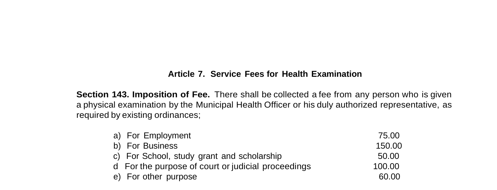#### **Article 7. Service Fees for Health Examination**

**Section 143. Imposition of Fee.** There shall be collected a fee from any person who is given a physical examination by the Municipal Health Officer or his duly authorized representative, as required by existing ordinances;

| a) For Employment                                  | 75.00  |
|----------------------------------------------------|--------|
| b) For Business                                    | 150.00 |
| c) For School, study grant and scholarship         | 50.00  |
| d For the purpose of court or judicial proceedings | 100.00 |
| e) For other purpose                               | 60.00  |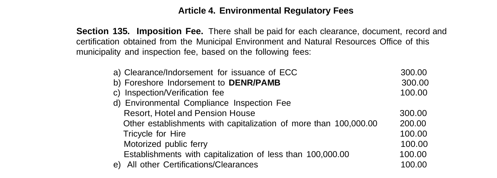#### **Article 4. Environmental Regulatory Fees**

**Section 135. Imposition Fee.** There shall be paid for each clearance, document, record and certification obtained from the Municipal Environment and Natural Resources Office of this municipality and inspection fee, based on the following fees:

|                   | a) Clearance/Indorsement for issuance of ECC                     | 300.00 |
|-------------------|------------------------------------------------------------------|--------|
|                   | b) Foreshore Indorsement to DENR/PAMB                            | 300.00 |
|                   | c) Inspection/Verification fee                                   | 100.00 |
|                   | d) Environmental Compliance Inspection Fee                       |        |
|                   | Resort, Hotel and Pension House                                  | 300.00 |
|                   | Other establishments with capitalization of more than 100,000.00 | 200.00 |
| Tricycle for Hire |                                                                  | 100.00 |
|                   | Motorized public ferry                                           | 100.00 |
|                   | Establishments with capitalization of less than 100,000.00       | 100.00 |
| e)                | All other Certifications/Clearances                              | 100.00 |